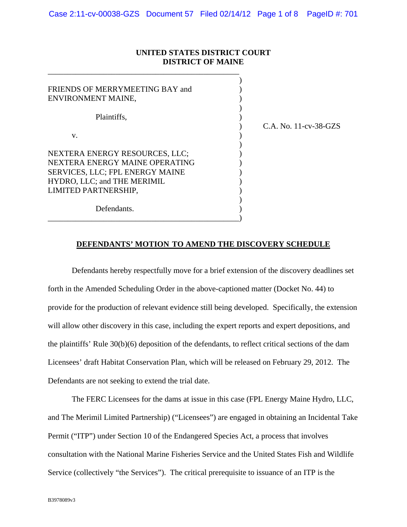### **UNITED STATES DISTRICT COURT DISTRICT OF MAINE**

\_\_\_\_\_\_\_\_\_\_\_\_\_\_\_\_\_\_\_\_\_\_\_\_\_\_\_\_\_\_\_\_\_\_\_\_\_\_\_\_\_\_\_\_\_\_\_\_

| FRIENDS OF MERRYMEETING BAY and<br>ENVIRONMENT MAINE,                                                                                                      |                           |
|------------------------------------------------------------------------------------------------------------------------------------------------------------|---------------------------|
| Plaintiffs,                                                                                                                                                | $C.A.$ No. $11-cv-38-GZS$ |
| V.                                                                                                                                                         |                           |
| NEXTERA ENERGY RESOURCES, LLC;<br>NEXTERA ENERGY MAINE OPERATING<br>SERVICES, LLC; FPL ENERGY MAINE<br>HYDRO, LLC; and THE MERIMIL<br>LIMITED PARTNERSHIP, |                           |
| Defendants.                                                                                                                                                |                           |

# **DEFENDANTS' MOTION TO AMEND THE DISCOVERY SCHEDULE**

Defendants hereby respectfully move for a brief extension of the discovery deadlines set forth in the Amended Scheduling Order in the above-captioned matter (Docket No. 44) to provide for the production of relevant evidence still being developed. Specifically, the extension will allow other discovery in this case, including the expert reports and expert depositions, and the plaintiffs' Rule 30(b)(6) deposition of the defendants, to reflect critical sections of the dam Licensees' draft Habitat Conservation Plan, which will be released on February 29, 2012. The Defendants are not seeking to extend the trial date.

The FERC Licensees for the dams at issue in this case (FPL Energy Maine Hydro, LLC, and The Merimil Limited Partnership) ("Licensees") are engaged in obtaining an Incidental Take Permit ("ITP") under Section 10 of the Endangered Species Act, a process that involves consultation with the National Marine Fisheries Service and the United States Fish and Wildlife Service (collectively "the Services"). The critical prerequisite to issuance of an ITP is the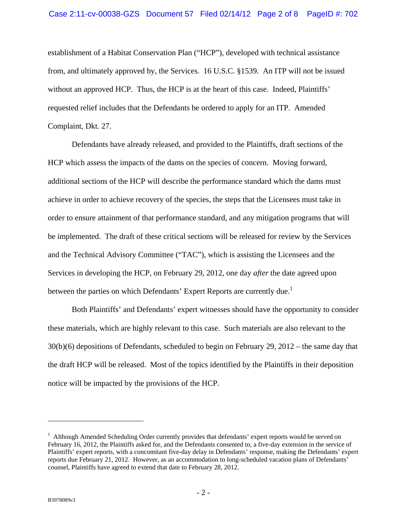establishment of a Habitat Conservation Plan ("HCP"), developed with technical assistance from, and ultimately approved by, the Services. 16 U.S.C. §1539. An ITP will not be issued without an approved HCP. Thus, the HCP is at the heart of this case. Indeed, Plaintiffs' requested relief includes that the Defendants be ordered to apply for an ITP. Amended Complaint, Dkt. 27.

Defendants have already released, and provided to the Plaintiffs, draft sections of the HCP which assess the impacts of the dams on the species of concern. Moving forward, additional sections of the HCP will describe the performance standard which the dams must achieve in order to achieve recovery of the species, the steps that the Licensees must take in order to ensure attainment of that performance standard, and any mitigation programs that will be implemented. The draft of these critical sections will be released for review by the Services and the Technical Advisory Committee ("TAC"), which is assisting the Licensees and the Services in developing the HCP, on February 29, 2012, one day *after* the date agreed upon between the parties on which Defendants' Expert Reports are currently due.<sup>1</sup>

Both Plaintiffs' and Defendants' expert witnesses should have the opportunity to consider these materials, which are highly relevant to this case. Such materials are also relevant to the 30(b)(6) depositions of Defendants, scheduled to begin on February 29, 2012 – the same day that the draft HCP will be released. Most of the topics identified by the Plaintiffs in their deposition notice will be impacted by the provisions of the HCP.

1

<sup>&</sup>lt;sup>1</sup> Although Amended Scheduling Order currently provides that defendants' expert reports would be served on February 16, 2012, the Plaintiffs asked for, and the Defendants consented to, a five-day extension in the service of Plaintiffs' expert reports, with a concomitant five-day delay in Defendants' response, making the Defendants' expert reports due February 21, 2012. However, as an accommodation to long-scheduled vacation plans of Defendants' counsel, Plaintiffs have agreed to extend that date to February 28, 2012.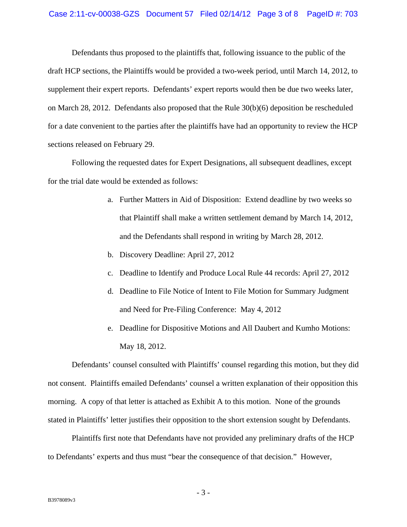#### Case 2:11-cv-00038-GZS Document 57 Filed 02/14/12 Page 3 of 8 PageID #: 703

Defendants thus proposed to the plaintiffs that, following issuance to the public of the draft HCP sections, the Plaintiffs would be provided a two-week period, until March 14, 2012, to supplement their expert reports. Defendants' expert reports would then be due two weeks later, on March 28, 2012. Defendants also proposed that the Rule 30(b)(6) deposition be rescheduled for a date convenient to the parties after the plaintiffs have had an opportunity to review the HCP sections released on February 29.

Following the requested dates for Expert Designations, all subsequent deadlines, except for the trial date would be extended as follows:

- a. Further Matters in Aid of Disposition: Extend deadline by two weeks so that Plaintiff shall make a written settlement demand by March 14, 2012, and the Defendants shall respond in writing by March 28, 2012.
- b. Discovery Deadline: April 27, 2012
- c. Deadline to Identify and Produce Local Rule 44 records: April 27, 2012
- d. Deadline to File Notice of Intent to File Motion for Summary Judgment and Need for Pre-Filing Conference: May 4, 2012
- e. Deadline for Dispositive Motions and All Daubert and Kumho Motions: May 18, 2012.

Defendants' counsel consulted with Plaintiffs' counsel regarding this motion, but they did not consent. Plaintiffs emailed Defendants' counsel a written explanation of their opposition this morning. A copy of that letter is attached as Exhibit A to this motion. None of the grounds stated in Plaintiffs' letter justifies their opposition to the short extension sought by Defendants.

Plaintiffs first note that Defendants have not provided any preliminary drafts of the HCP to Defendants' experts and thus must "bear the consequence of that decision." However,

- 3 -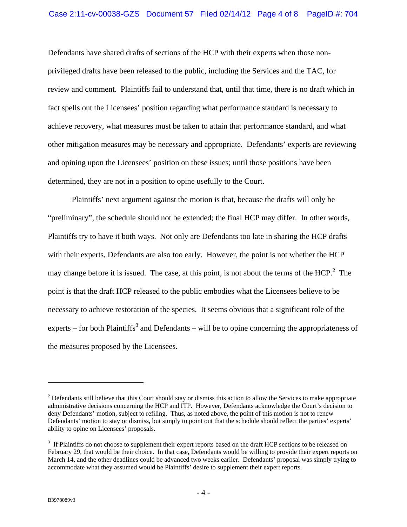Defendants have shared drafts of sections of the HCP with their experts when those nonprivileged drafts have been released to the public, including the Services and the TAC, for review and comment. Plaintiffs fail to understand that, until that time, there is no draft which in fact spells out the Licensees' position regarding what performance standard is necessary to achieve recovery, what measures must be taken to attain that performance standard, and what other mitigation measures may be necessary and appropriate. Defendants' experts are reviewing and opining upon the Licensees' position on these issues; until those positions have been determined, they are not in a position to opine usefully to the Court.

Plaintiffs' next argument against the motion is that, because the drafts will only be "preliminary", the schedule should not be extended; the final HCP may differ. In other words, Plaintiffs try to have it both ways. Not only are Defendants too late in sharing the HCP drafts with their experts, Defendants are also too early. However, the point is not whether the HCP may change before it is issued. The case, at this point, is not about the terms of the  $HCP<sup>2</sup>$ . The point is that the draft HCP released to the public embodies what the Licensees believe to be necessary to achieve restoration of the species. It seems obvious that a significant role of the experts – for both Plaintiffs<sup>3</sup> and Defendants – will be to opine concerning the appropriateness of the measures proposed by the Licensees.

1

 $2^{2}$  Defendants still believe that this Court should stay or dismiss this action to allow the Services to make appropriate administrative decisions concerning the HCP and ITP. However, Defendants acknowledge the Court's decision to deny Defendants' motion, subject to refiling. Thus, as noted above, the point of this motion is not to renew Defendants' motion to stay or dismiss, but simply to point out that the schedule should reflect the parties' experts' ability to opine on Licensees' proposals.

<sup>&</sup>lt;sup>3</sup> If Plaintiffs do not choose to supplement their expert reports based on the draft HCP sections to be released on February 29, that would be their choice. In that case, Defendants would be willing to provide their expert reports on March 14, and the other deadlines could be advanced two weeks earlier. Defendants' proposal was simply trying to accommodate what they assumed would be Plaintiffs' desire to supplement their expert reports.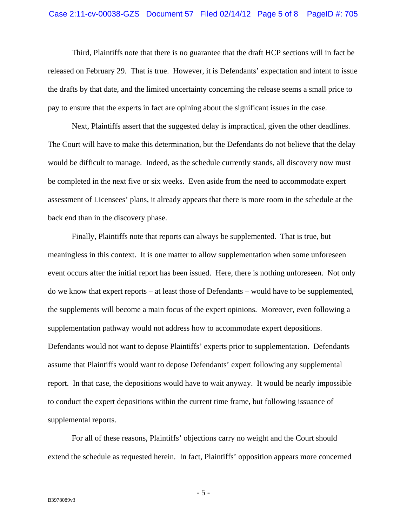#### Case 2:11-cv-00038-GZS Document 57 Filed 02/14/12 Page 5 of 8 PageID #: 705

Third, Plaintiffs note that there is no guarantee that the draft HCP sections will in fact be released on February 29. That is true. However, it is Defendants' expectation and intent to issue the drafts by that date, and the limited uncertainty concerning the release seems a small price to pay to ensure that the experts in fact are opining about the significant issues in the case.

Next, Plaintiffs assert that the suggested delay is impractical, given the other deadlines. The Court will have to make this determination, but the Defendants do not believe that the delay would be difficult to manage. Indeed, as the schedule currently stands, all discovery now must be completed in the next five or six weeks. Even aside from the need to accommodate expert assessment of Licensees' plans, it already appears that there is more room in the schedule at the back end than in the discovery phase.

Finally, Plaintiffs note that reports can always be supplemented. That is true, but meaningless in this context. It is one matter to allow supplementation when some unforeseen event occurs after the initial report has been issued. Here, there is nothing unforeseen. Not only do we know that expert reports – at least those of Defendants – would have to be supplemented, the supplements will become a main focus of the expert opinions. Moreover, even following a supplementation pathway would not address how to accommodate expert depositions. Defendants would not want to depose Plaintiffs' experts prior to supplementation. Defendants assume that Plaintiffs would want to depose Defendants' expert following any supplemental report. In that case, the depositions would have to wait anyway. It would be nearly impossible to conduct the expert depositions within the current time frame, but following issuance of supplemental reports.

For all of these reasons, Plaintiffs' objections carry no weight and the Court should extend the schedule as requested herein. In fact, Plaintiffs' opposition appears more concerned

 $-5 -$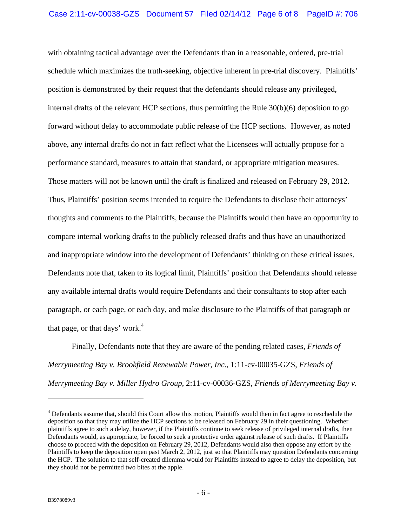with obtaining tactical advantage over the Defendants than in a reasonable, ordered, pre-trial schedule which maximizes the truth-seeking, objective inherent in pre-trial discovery. Plaintiffs' position is demonstrated by their request that the defendants should release any privileged, internal drafts of the relevant HCP sections, thus permitting the Rule 30(b)(6) deposition to go forward without delay to accommodate public release of the HCP sections. However, as noted above, any internal drafts do not in fact reflect what the Licensees will actually propose for a performance standard, measures to attain that standard, or appropriate mitigation measures. Those matters will not be known until the draft is finalized and released on February 29, 2012. Thus, Plaintiffs' position seems intended to require the Defendants to disclose their attorneys' thoughts and comments to the Plaintiffs, because the Plaintiffs would then have an opportunity to compare internal working drafts to the publicly released drafts and thus have an unauthorized and inappropriate window into the development of Defendants' thinking on these critical issues. Defendants note that, taken to its logical limit, Plaintiffs' position that Defendants should release any available internal drafts would require Defendants and their consultants to stop after each paragraph, or each page, or each day, and make disclosure to the Plaintiffs of that paragraph or that page, or that days' work. $4$ 

Finally, Defendants note that they are aware of the pending related cases, *Friends of Merrymeeting Bay v. Brookfield Renewable Power, Inc.*, 1:11-cv-00035-GZS, *Friends of Merrymeeting Bay v. Miller Hydro Group*, 2:11-cv-00036-GZS, *Friends of Merrymeeting Bay v.* 

1

<sup>&</sup>lt;sup>4</sup> Defendants assume that, should this Court allow this motion, Plaintiffs would then in fact agree to reschedule the deposition so that they may utilize the HCP sections to be released on February 29 in their questioning. Whether plaintiffs agree to such a delay, however, if the Plaintiffs continue to seek release of privileged internal drafts, then Defendants would, as appropriate, be forced to seek a protective order against release of such drafts. If Plaintiffs choose to proceed with the deposition on February 29, 2012, Defendants would also then oppose any effort by the Plaintiffs to keep the deposition open past March 2, 2012, just so that Plaintiffs may question Defendants concerning the HCP. The solution to that self-created dilemma would for Plaintiffs instead to agree to delay the deposition, but they should not be permitted two bites at the apple.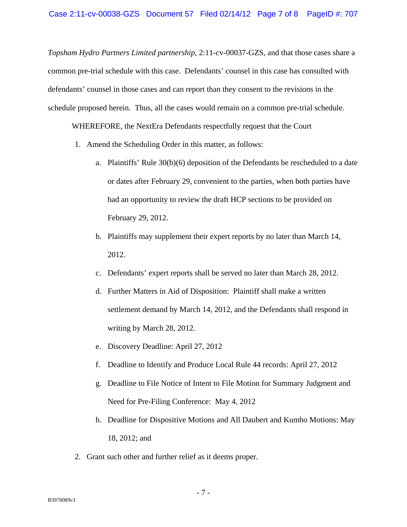*Topsham Hydro Partners Limited partnership*, 2:11-cv-00037-GZS, and that those cases share a common pre-trial schedule with this case. Defendants' counsel in this case has consulted with defendants' counsel in those cases and can report than they consent to the revisions in the schedule proposed herein. Thus, all the cases would remain on a common pre-trial schedule.

WHEREFORE, the NextEra Defendants respectfully request that the Court

- 1. Amend the Scheduling Order in this matter, as follows:
	- a. Plaintiffs' Rule 30(b)(6) deposition of the Defendants be rescheduled to a date or dates after February 29, convenient to the parties, when both parties have had an opportunity to review the draft HCP sections to be provided on February 29, 2012.
	- b. Plaintiffs may supplement their expert reports by no later than March 14, 2012.
	- c. Defendants' expert reports shall be served no later than March 28, 2012.
	- d. Further Matters in Aid of Disposition: Plaintiff shall make a written settlement demand by March 14, 2012, and the Defendants shall respond in writing by March 28, 2012.
	- e. Discovery Deadline: April 27, 2012
	- f. Deadline to Identify and Produce Local Rule 44 records: April 27, 2012
	- g. Deadline to File Notice of Intent to File Motion for Summary Judgment and Need for Pre-Filing Conference: May 4, 2012
	- h. Deadline for Dispositive Motions and All Daubert and Kumho Motions: May 18, 2012; and
- 2. Grant such other and further relief as it deems proper.